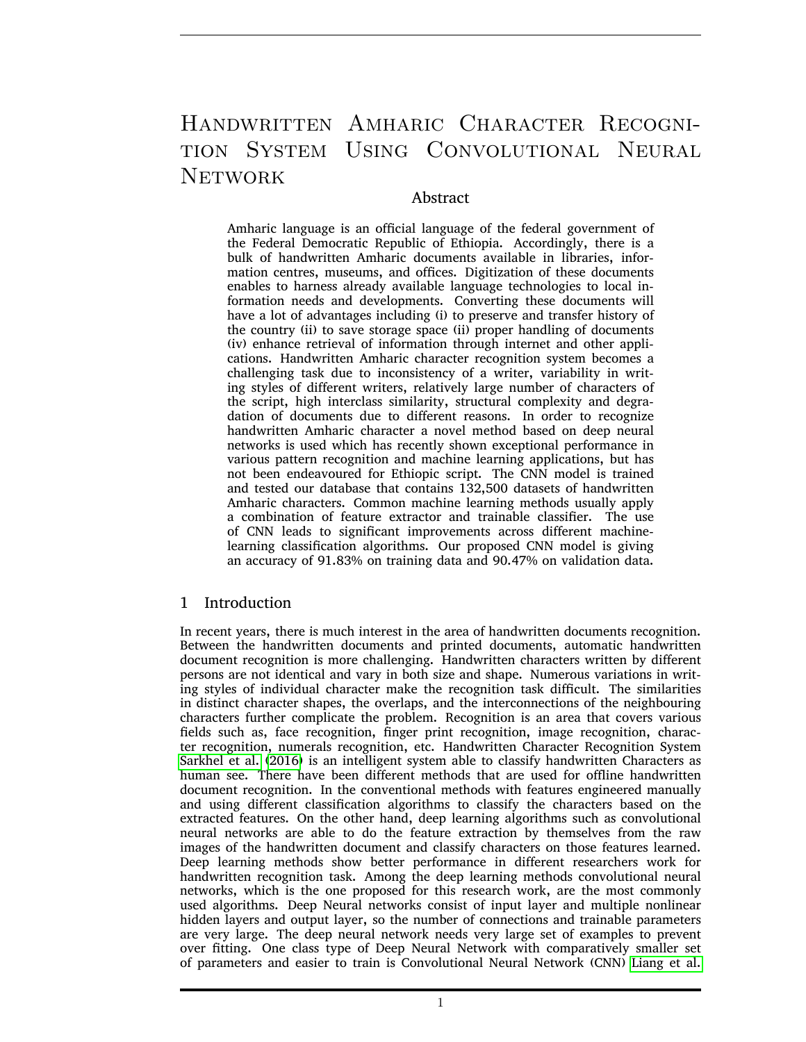# Handwritten Amharic Character Recognition System Using Convolutional Neural **NETWORK**

## Abstract

Amharic language is an official language of the federal government of the Federal Democratic Republic of Ethiopia. Accordingly, there is a bulk of handwritten Amharic documents available in libraries, information centres, museums, and offices. Digitization of these documents enables to harness already available language technologies to local information needs and developments. Converting these documents will have a lot of advantages including (i) to preserve and transfer history of the country (ii) to save storage space (ii) proper handling of documents (iv) enhance retrieval of information through internet and other applications. Handwritten Amharic character recognition system becomes a challenging task due to inconsistency of a writer, variability in writing styles of different writers, relatively large number of characters of the script, high interclass similarity, structural complexity and degradation of documents due to different reasons. In order to recognize handwritten Amharic character a novel method based on deep neural networks is used which has recently shown exceptional performance in various pattern recognition and machine learning applications, but has not been endeavoured for Ethiopic script. The CNN model is trained and tested our database that contains 132,500 datasets of handwritten Amharic characters. Common machine learning methods usually apply a combination of feature extractor and trainable classifier. The use of CNN leads to significant improvements across different machinelearning classification algorithms. Our proposed CNN model is giving an accuracy of 91.83% on training data and 90.47% on validation data.

## 1 Introduction

In recent years, there is much interest in the area of handwritten documents recognition. Between the handwritten documents and printed documents, automatic handwritten document recognition is more challenging. Handwritten characters written by different persons are not identical and vary in both size and shape. Numerous variations in writing styles of individual character make the recognition task difficult. The similarities in distinct character shapes, the overlaps, and the interconnections of the neighbouring characters further complicate the problem. Recognition is an area that covers various fields such as, face recognition, finger print recognition, image recognition, character recognition, numerals recognition, etc. Handwritten Character Recognition System [Sarkhel et al. \(2016\)](#page-9-0) is an intelligent system able to classify handwritten Characters as human see. There have been different methods that are used for offline handwritten document recognition. In the conventional methods with features engineered manually and using different classification algorithms to classify the characters based on the extracted features. On the other hand, deep learning algorithms such as convolutional neural networks are able to do the feature extraction by themselves from the raw images of the handwritten document and classify characters on those features learned. Deep learning methods show better performance in different researchers work for handwritten recognition task. Among the deep learning methods convolutional neural networks, which is the one proposed for this research work, are the most commonly used algorithms. Deep Neural networks consist of input layer and multiple nonlinear hidden layers and output layer, so the number of connections and trainable parameters are very large. The deep neural network needs very large set of examples to prevent over fitting. One class type of Deep Neural Network with comparatively smaller set of parameters and easier to train is Convolutional Neural Network (CNN) [Liang et al.](#page-9-1)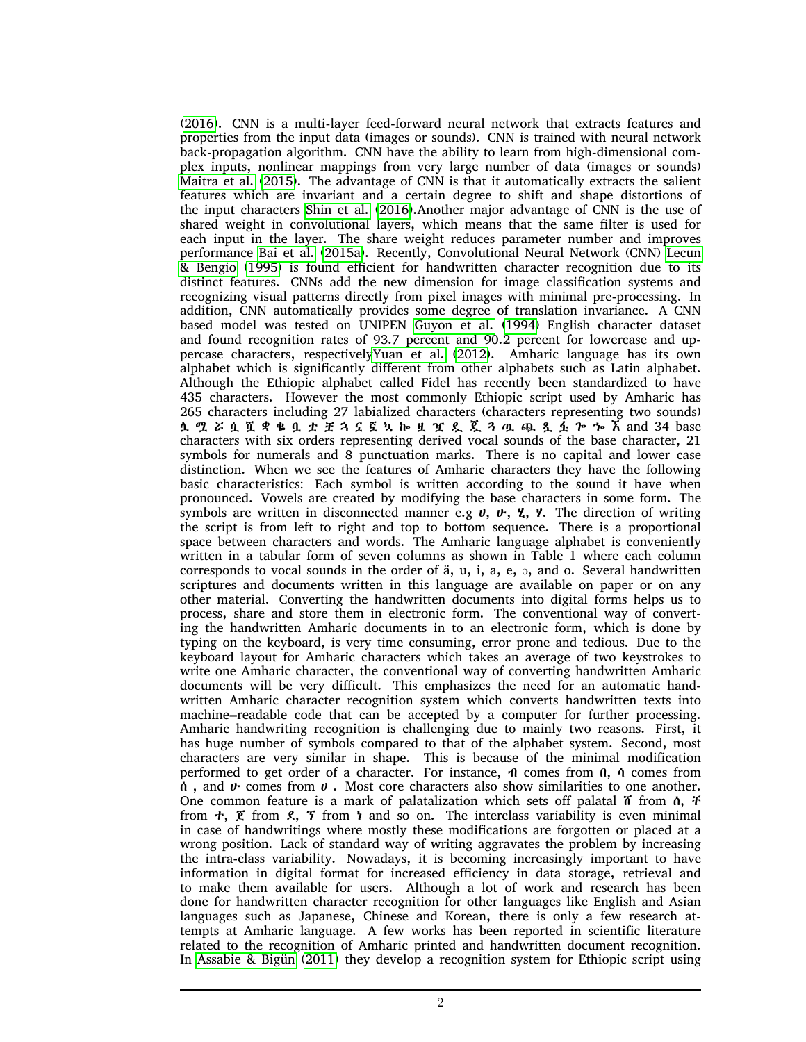[\(2016\)](#page-9-1). CNN is a multi-layer feed-forward neural network that extracts features and properties from the input data (images or sounds). CNN is trained with neural network back-propagation algorithm. CNN have the ability to learn from high-dimensional complex inputs, nonlinear mappings from very large number of data (images or sounds) [Maitra et al. \(2015\)](#page-9-2). The advantage of CNN is that it automatically extracts the salient features which are invariant and a certain degree to shift and shape distortions of the input characters [Shin et al. \(2016\)](#page-9-3).Another major advantage of CNN is the use of shared weight in convolutional layers, which means that the same filter is used for each input in the layer. The share weight reduces parameter number and improves performance [Bai et al. \(2015a\)](#page-8-0). Recently, Convolutional Neural Network (CNN) [Lecun](#page-9-4) [& Bengio \(1995\)](#page-9-4) is found efficient for handwritten character recognition due to its distinct features. CNNs add the new dimension for image classification systems and recognizing visual patterns directly from pixel images with minimal pre-processing. In addition, CNN automatically provides some degree of translation invariance. A CNN based model was tested on UNIPEN [Guyon et al. \(1994\)](#page-8-1) English character dataset and found recognition rates of 93.7 percent and 90.2 percent for lowercase and uppercase characters, respectivel[yYuan et al. \(2012\)](#page-10-0). Amharic language has its own alphabet which is significantly different from other alphabets such as Latin alphabet. Although the Ethiopic alphabet called Fidel has recently been standardized to have 435 characters. However the most commonly Ethiopic script used by Amharic has 265 characters including 27 labialized characters (characters representing two sounds) ሏ ሟ ሯ ሷ ሿ ቋ ቈ ቧ ቷ ቿ ኋ ኗ ኟ ኳ ኰ ዟ ዧ ዷ ጇ ጓ ጧ ጯ ጿ ፏ ጐ ኈ ኧ and 34 base characters with six orders representing derived vocal sounds of the base character, 21 symbols for numerals and 8 punctuation marks. There is no capital and lower case distinction. When we see the features of Amharic characters they have the following basic characteristics: Each symbol is written according to the sound it have when pronounced. Vowels are created by modifying the base characters in some form. The symbols are written in disconnected manner e.g  $v$ ,  $v$ ,  $v$ ,  $v$ . The direction of writing the script is from left to right and top to bottom sequence. There is a proportional space between characters and words. The Amharic language alphabet is conveniently written in a tabular form of seven columns as shown in Table 1 where each column corresponds to vocal sounds in the order of  $a$ ,  $u$ ,  $i$ ,  $a$ ,  $e$ ,  $\theta$ , and  $o$ . Several handwritten scriptures and documents written in this language are available on paper or on any other material. Converting the handwritten documents into digital forms helps us to process, share and store them in electronic form. The conventional way of converting the handwritten Amharic documents in to an electronic form, which is done by typing on the keyboard, is very time consuming, error prone and tedious. Due to the keyboard layout for Amharic characters which takes an average of two keystrokes to write one Amharic character, the conventional way of converting handwritten Amharic documents will be very difficult. This emphasizes the need for an automatic handwritten Amharic character recognition system which converts handwritten texts into machine–readable code that can be accepted by a computer for further processing. Amharic handwriting recognition is challenging due to mainly two reasons. First, it has huge number of symbols compared to that of the alphabet system. Second, most characters are very similar in shape. This is because of the minimal modification performed to get order of a character. For instance, ብ comes from በ, ሳ comes from ሰ , and ሁ comes from ሀ . Most core characters also show similarities to one another. One common feature is a mark of palatalization which sets off palatal  $\tilde{n}$  from  $\tilde{n}$ ,  $\tilde{r}$ from  $\tau$ ,  $\zeta$  from  $\zeta$ ,  $\zeta$  from  $\zeta$  and so on. The interclass variability is even minimal in case of handwritings where mostly these modifications are forgotten or placed at a wrong position. Lack of standard way of writing aggravates the problem by increasing the intra-class variability. Nowadays, it is becoming increasingly important to have information in digital format for increased efficiency in data storage, retrieval and to make them available for users. Although a lot of work and research has been done for handwritten character recognition for other languages like English and Asian languages such as Japanese, Chinese and Korean, there is only a few research attempts at Amharic language. A few works has been reported in scientific literature related to the recognition of Amharic printed and handwritten document recognition. In [Assabie & Bigün \(2011\)](#page-8-2) they develop a recognition system for Ethiopic script using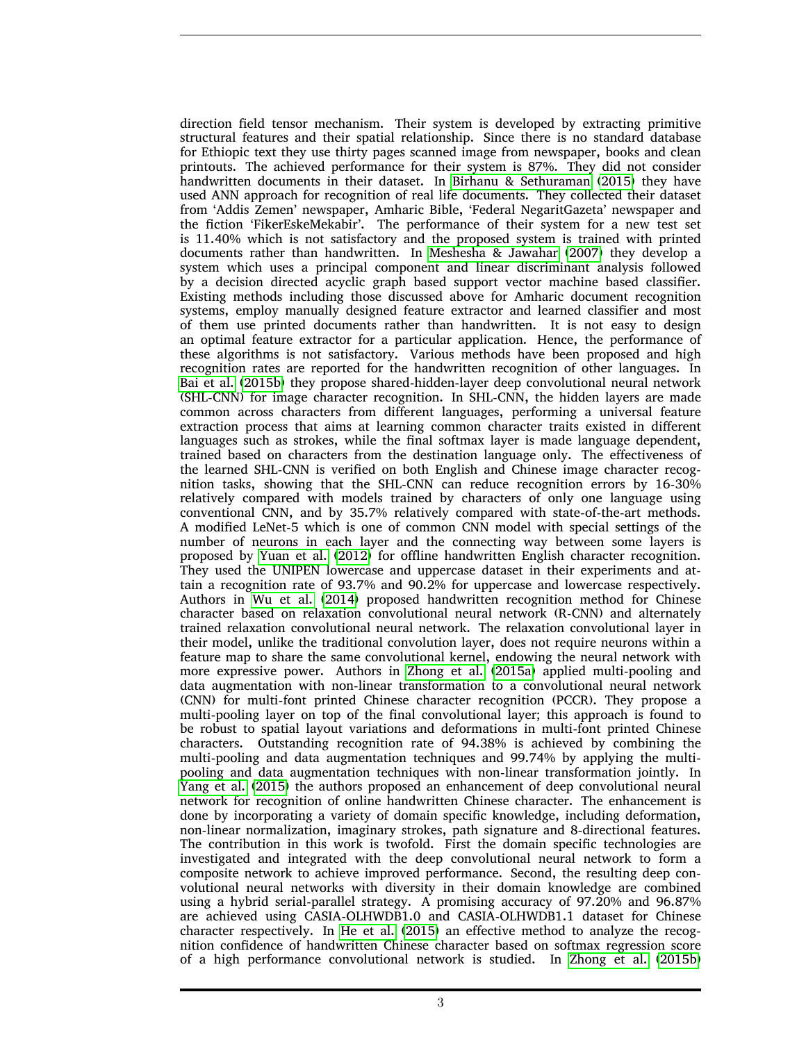direction field tensor mechanism. Their system is developed by extracting primitive structural features and their spatial relationship. Since there is no standard database for Ethiopic text they use thirty pages scanned image from newspaper, books and clean printouts. The achieved performance for their system is 87%. They did not consider handwritten documents in their dataset. In [Birhanu & Sethuraman \(2015\)](#page-8-3) they have used ANN approach for recognition of real life documents. They collected their dataset from 'Addis Zemen' newspaper, Amharic Bible, 'Federal NegaritGazeta' newspaper and the fiction 'FikerEskeMekabir'. The performance of their system for a new test set is 11.40% which is not satisfactory and the proposed system is trained with printed documents rather than handwritten. In [Meshesha & Jawahar \(2007\)](#page-9-5) they develop a system which uses a principal component and linear discriminant analysis followed by a decision directed acyclic graph based support vector machine based classifier. Existing methods including those discussed above for Amharic document recognition systems, employ manually designed feature extractor and learned classifier and most of them use printed documents rather than handwritten. It is not easy to design an optimal feature extractor for a particular application. Hence, the performance of these algorithms is not satisfactory. Various methods have been proposed and high recognition rates are reported for the handwritten recognition of other languages. In [Bai et al. \(2015b\)](#page-8-4) they propose shared-hidden-layer deep convolutional neural network (SHL-CNN) for image character recognition. In SHL-CNN, the hidden layers are made common across characters from different languages, performing a universal feature extraction process that aims at learning common character traits existed in different languages such as strokes, while the final softmax layer is made language dependent, trained based on characters from the destination language only. The effectiveness of the learned SHL-CNN is verified on both English and Chinese image character recognition tasks, showing that the SHL-CNN can reduce recognition errors by 16-30% relatively compared with models trained by characters of only one language using conventional CNN, and by 35.7% relatively compared with state-of-the-art methods. A modified LeNet-5 which is one of common CNN model with special settings of the number of neurons in each layer and the connecting way between some layers is proposed by [Yuan et al. \(2012\)](#page-10-0) for offline handwritten English character recognition. They used the UNIPEN lowercase and uppercase dataset in their experiments and attain a recognition rate of 93.7% and 90.2% for uppercase and lowercase respectively. Authors in [Wu et al. \(2014\)](#page-9-6) proposed handwritten recognition method for Chinese character based on relaxation convolutional neural network (R-CNN) and alternately trained relaxation convolutional neural network. The relaxation convolutional layer in their model, unlike the traditional convolution layer, does not require neurons within a feature map to share the same convolutional kernel, endowing the neural network with more expressive power. Authors in [Zhong et al. \(2015a\)](#page-10-1) applied multi-pooling and data augmentation with non-linear transformation to a convolutional neural network (CNN) for multi-font printed Chinese character recognition (PCCR). They propose a multi-pooling layer on top of the final convolutional layer; this approach is found to be robust to spatial layout variations and deformations in multi-font printed Chinese characters. Outstanding recognition rate of 94.38% is achieved by combining the multi-pooling and data augmentation techniques and 99.74% by applying the multipooling and data augmentation techniques with non-linear transformation jointly. In [Yang et al. \(2015\)](#page-9-7) the authors proposed an enhancement of deep convolutional neural network for recognition of online handwritten Chinese character. The enhancement is done by incorporating a variety of domain specific knowledge, including deformation, non-linear normalization, imaginary strokes, path signature and 8-directional features. The contribution in this work is twofold. First the domain specific technologies are investigated and integrated with the deep convolutional neural network to form a composite network to achieve improved performance. Second, the resulting deep convolutional neural networks with diversity in their domain knowledge are combined using a hybrid serial-parallel strategy. A promising accuracy of 97.20% and 96.87% are achieved using CASIA-OLHWDB1.0 and CASIA-OLHWDB1.1 dataset for Chinese character respectively. In [He et al. \(2015\)](#page-8-5) an effective method to analyze the recognition confidence of handwritten Chinese character based on softmax regression score of a high performance convolutional network is studied. In [Zhong et al. \(2015b\)](#page-10-2)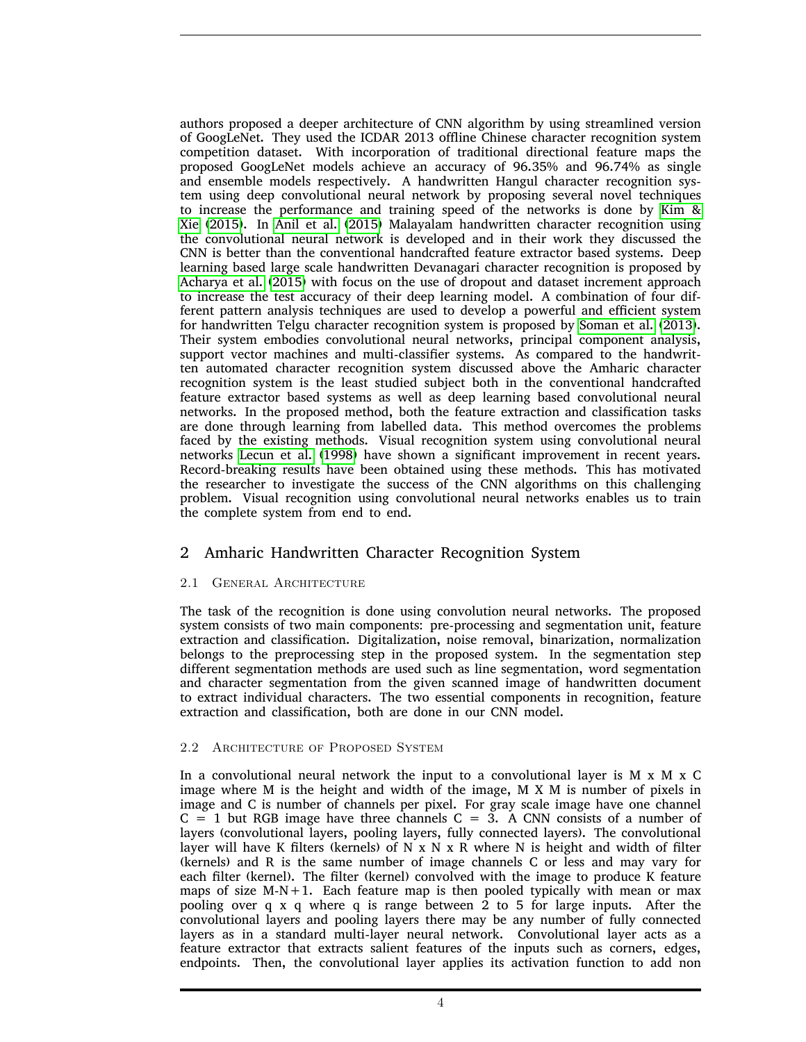authors proposed a deeper architecture of CNN algorithm by using streamlined version of GoogLeNet. They used the ICDAR 2013 offline Chinese character recognition system competition dataset. With incorporation of traditional directional feature maps the proposed GoogLeNet models achieve an accuracy of 96.35% and 96.74% as single and ensemble models respectively. A handwritten Hangul character recognition system using deep convolutional neural network by proposing several novel techniques to increase the performance and training speed of the networks is done by [Kim &](#page-9-8) [Xie \(2015\)](#page-9-8). In [Anil et al. \(2015\)](#page-8-6) Malayalam handwritten character recognition using the convolutional neural network is developed and in their work they discussed the CNN is better than the conventional handcrafted feature extractor based systems. Deep learning based large scale handwritten Devanagari character recognition is proposed by [Acharya et al. \(2015\)](#page-8-7) with focus on the use of dropout and dataset increment approach to increase the test accuracy of their deep learning model. A combination of four different pattern analysis techniques are used to develop a powerful and efficient system for handwritten Telgu character recognition system is proposed by [Soman et al. \(2013\)](#page-9-9). Their system embodies convolutional neural networks, principal component analysis, support vector machines and multi-classifier systems. As compared to the handwritten automated character recognition system discussed above the Amharic character recognition system is the least studied subject both in the conventional handcrafted feature extractor based systems as well as deep learning based convolutional neural networks. In the proposed method, both the feature extraction and classification tasks are done through learning from labelled data. This method overcomes the problems faced by the existing methods. Visual recognition system using convolutional neural networks [Lecun et al. \(1998\)](#page-9-10) have shown a significant improvement in recent years. Record-breaking results have been obtained using these methods. This has motivated the researcher to investigate the success of the CNN algorithms on this challenging problem. Visual recognition using convolutional neural networks enables us to train the complete system from end to end.

# 2 Amharic Handwritten Character Recognition System

#### 2.1 General Architecture

The task of the recognition is done using convolution neural networks. The proposed system consists of two main components: pre-processing and segmentation unit, feature extraction and classification. Digitalization, noise removal, binarization, normalization belongs to the preprocessing step in the proposed system. In the segmentation step different segmentation methods are used such as line segmentation, word segmentation and character segmentation from the given scanned image of handwritten document to extract individual characters. The two essential components in recognition, feature extraction and classification, both are done in our CNN model.

#### 2.2 Architecture of Proposed System

In a convolutional neural network the input to a convolutional layer is  $M \times M \times C$ image where M is the height and width of the image, M X M is number of pixels in image and C is number of channels per pixel. For gray scale image have one channel  $C = 1$  but RGB image have three channels  $C = 3$ . A CNN consists of a number of layers (convolutional layers, pooling layers, fully connected layers). The convolutional layer will have K filters (kernels) of  $N \times N \times R$  where N is height and width of filter (kernels) and R is the same number of image channels C or less and may vary for each filter (kernel). The filter (kernel) convolved with the image to produce K feature maps of size  $M-N+1$ . Each feature map is then pooled typically with mean or max pooling over q x q where q is range between  $\overline{2}$  to 5 for large inputs. After the convolutional layers and pooling layers there may be any number of fully connected layers as in a standard multi-layer neural network. Convolutional layer acts as a feature extractor that extracts salient features of the inputs such as corners, edges, endpoints. Then, the convolutional layer applies its activation function to add non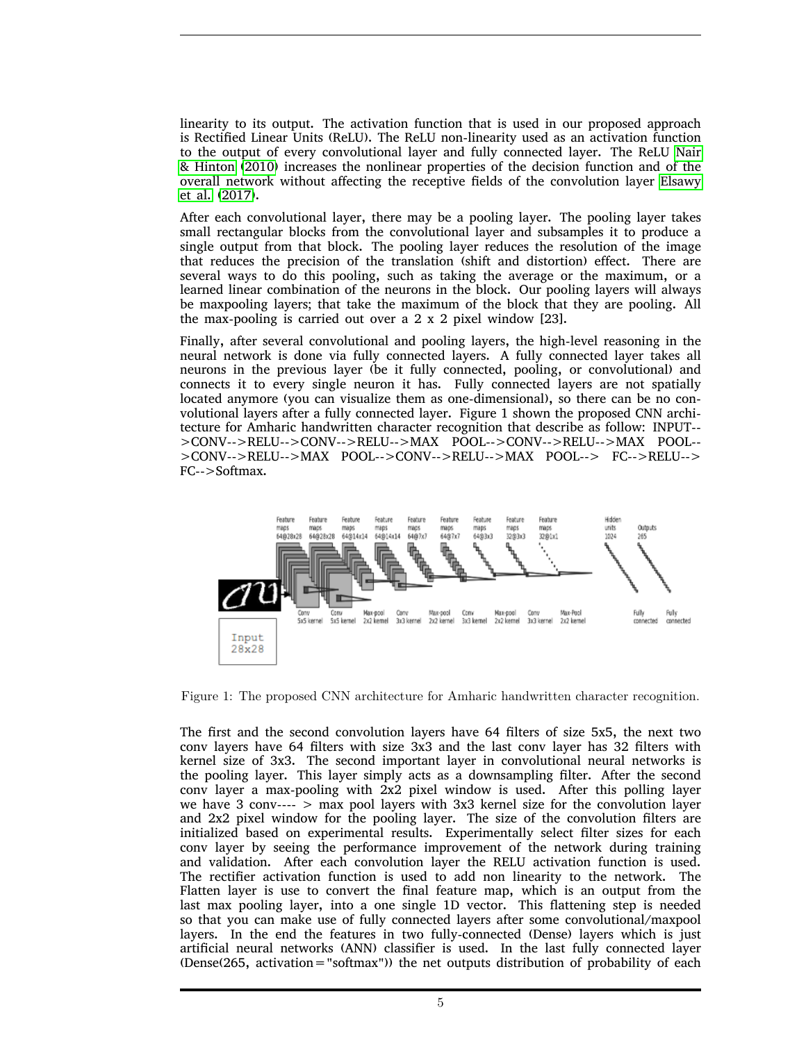linearity to its output. The activation function that is used in our proposed approach is Rectified Linear Units (ReLU). The ReLU non-linearity used as an activation function to the output of every convolutional layer and fully connected layer. The ReLU [Nair](#page-9-11) [& Hinton \(2010\)](#page-9-11) increases the nonlinear properties of the decision function and of the overall network without affecting the receptive fields of the convolution layer [Elsawy](#page-8-8) [et al. \(2017\)](#page-8-8).

After each convolutional layer, there may be a pooling layer. The pooling layer takes small rectangular blocks from the convolutional layer and subsamples it to produce a single output from that block. The pooling layer reduces the resolution of the image that reduces the precision of the translation (shift and distortion) effect. There are several ways to do this pooling, such as taking the average or the maximum, or a learned linear combination of the neurons in the block. Our pooling layers will always be maxpooling layers; that take the maximum of the block that they are pooling. All the max-pooling is carried out over a 2 x 2 pixel window [23].

Finally, after several convolutional and pooling layers, the high-level reasoning in the neural network is done via fully connected layers. A fully connected layer takes all neurons in the previous layer (be it fully connected, pooling, or convolutional) and connects it to every single neuron it has. Fully connected layers are not spatially located anymore (you can visualize them as one-dimensional), so there can be no convolutional layers after a fully connected layer. Figure 1 shown the proposed CNN architecture for Amharic handwritten character recognition that describe as follow: INPUT-- >CONV-->RELU-->CONV-->RELU-->MAX POOL-->CONV-->RELU-->MAX POOL-- >CONV-->RELU-->MAX POOL-->CONV-->RELU-->MAX POOL--> FC-->RELU--> FC-->Softmax.



Figure 1: The proposed CNN architecture for Amharic handwritten character recognition.

The first and the second convolution layers have 64 filters of size 5x5, the next two conv layers have 64 filters with size 3x3 and the last conv layer has 32 filters with kernel size of 3x3. The second important layer in convolutional neural networks is the pooling layer. This layer simply acts as a downsampling filter. After the second conv layer a max-pooling with 2x2 pixel window is used. After this polling layer we have 3 conv----  $>$  max pool layers with 3x3 kernel size for the convolution layer and 2x2 pixel window for the pooling layer. The size of the convolution filters are initialized based on experimental results. Experimentally select filter sizes for each conv layer by seeing the performance improvement of the network during training and validation. After each convolution layer the RELU activation function is used. The rectifier activation function is used to add non linearity to the network. The Flatten layer is use to convert the final feature map, which is an output from the last max pooling layer, into a one single 1D vector. This flattening step is needed so that you can make use of fully connected layers after some convolutional/maxpool layers. In the end the features in two fully-connected (Dense) layers which is just artificial neural networks (ANN) classifier is used. In the last fully connected layer (Dense(265, activation="softmax")) the net outputs distribution of probability of each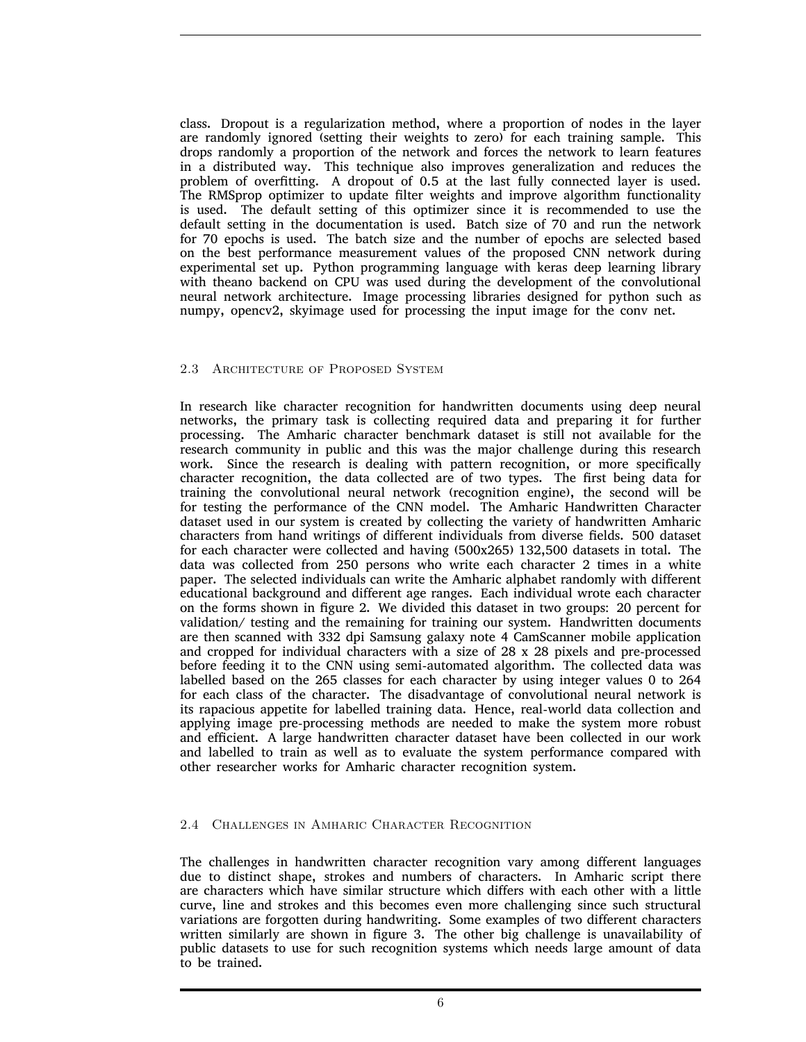class. Dropout is a regularization method, where a proportion of nodes in the layer are randomly ignored (setting their weights to zero) for each training sample. This drops randomly a proportion of the network and forces the network to learn features in a distributed way. This technique also improves generalization and reduces the problem of overfitting. A dropout of 0.5 at the last fully connected layer is used. The RMSprop optimizer to update filter weights and improve algorithm functionality is used. The default setting of this optimizer since it is recommended to use the default setting in the documentation is used. Batch size of 70 and run the network for 70 epochs is used. The batch size and the number of epochs are selected based on the best performance measurement values of the proposed CNN network during experimental set up. Python programming language with keras deep learning library with theano backend on CPU was used during the development of the convolutional neural network architecture. Image processing libraries designed for python such as numpy, opencv2, skyimage used for processing the input image for the conv net.

#### 2.3 Architecture of Proposed System

In research like character recognition for handwritten documents using deep neural networks, the primary task is collecting required data and preparing it for further processing. The Amharic character benchmark dataset is still not available for the research community in public and this was the major challenge during this research work. Since the research is dealing with pattern recognition, or more specifically character recognition, the data collected are of two types. The first being data for training the convolutional neural network (recognition engine), the second will be for testing the performance of the CNN model. The Amharic Handwritten Character dataset used in our system is created by collecting the variety of handwritten Amharic characters from hand writings of different individuals from diverse fields. 500 dataset for each character were collected and having (500x265) 132,500 datasets in total. The data was collected from 250 persons who write each character 2 times in a white paper. The selected individuals can write the Amharic alphabet randomly with different educational background and different age ranges. Each individual wrote each character on the forms shown in figure 2. We divided this dataset in two groups: 20 percent for validation/ testing and the remaining for training our system. Handwritten documents are then scanned with 332 dpi Samsung galaxy note 4 CamScanner mobile application and cropped for individual characters with a size of 28 x 28 pixels and pre-processed before feeding it to the CNN using semi-automated algorithm. The collected data was labelled based on the 265 classes for each character by using integer values 0 to 264 for each class of the character. The disadvantage of convolutional neural network is its rapacious appetite for labelled training data. Hence, real-world data collection and applying image pre-processing methods are needed to make the system more robust and efficient. A large handwritten character dataset have been collected in our work and labelled to train as well as to evaluate the system performance compared with other researcher works for Amharic character recognition system.

#### 2.4 Challenges in Amharic Character Recognition

The challenges in handwritten character recognition vary among different languages due to distinct shape, strokes and numbers of characters. In Amharic script there are characters which have similar structure which differs with each other with a little curve, line and strokes and this becomes even more challenging since such structural variations are forgotten during handwriting. Some examples of two different characters written similarly are shown in figure 3. The other big challenge is unavailability of public datasets to use for such recognition systems which needs large amount of data to be trained.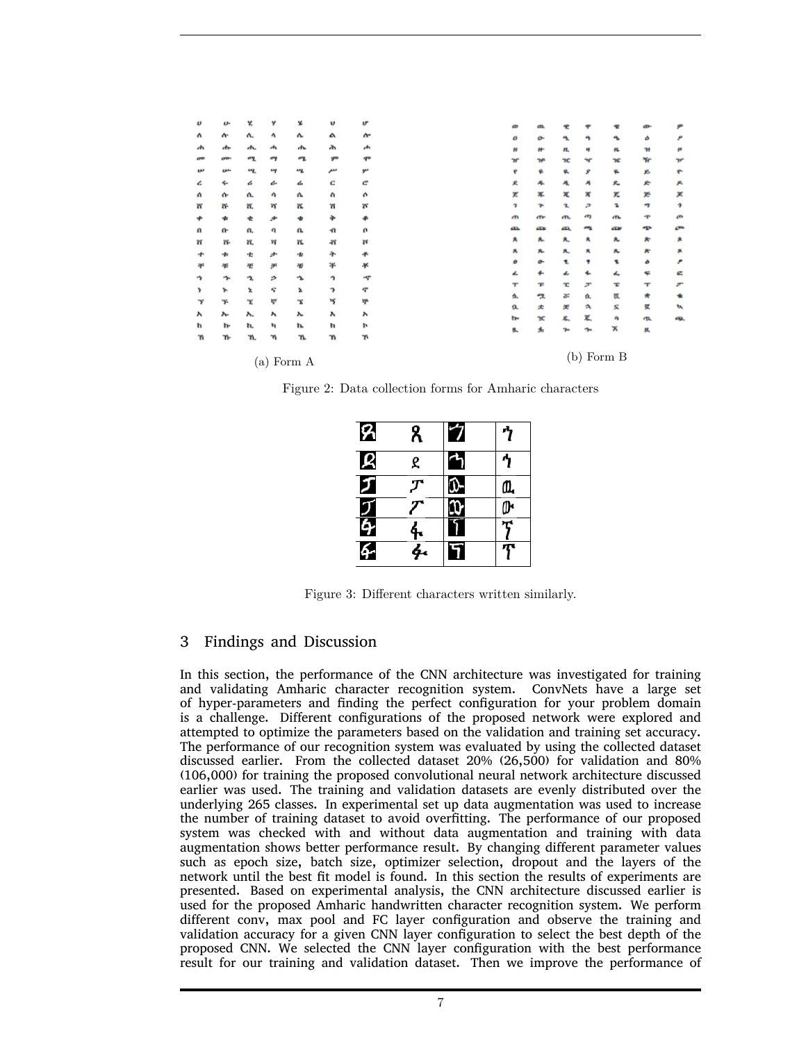| υ  | u.           | Y.  | y   | x                        | υ              | U         |
|----|--------------|-----|-----|--------------------------|----------------|-----------|
| Λ  | $\mathbf{r}$ | л.  | ٨   | Λ.                       | А              | ሎ         |
| 4h | atu.         | м.  | a,  | $\overline{\phantom{a}}$ | m              | rb.       |
| œ  | av.          | ሚ   | ø٦  | ሚ                        | 9 <sup>m</sup> | qu        |
| w  | ᄥ            | w.  | ٣f  | w                        | سم             | سو        |
| ሬ  | ÷.           | á   | å.  | ፌ                        | c              | e         |
| a  | œ            | Λ.  | ٠   | ሌ                        | ٨              | ٨         |
| 'n | ቝ            | π.  | শ   | π.                       | 'n             | <b>W.</b> |
| ÷  |              | ŧ   | حور | ÷                        | ÷              |           |
| U  | G-           | а.  | q   | U.                       | ٠n             | a         |
| ត  | 'n.          | π.  | π   | 'n.                      | 41             | Ħ         |
| ÷  | -11          | ÷   | ٠   | ÷                        | ት              | 平         |
| 平  | 谮            | 祵   | y   | 礥                        | ą.             | ¥         |
| ٠  | ÷.           | ÷.  | ۵   | ٠.                       | ÷              | ٠ç        |
| Y  | ኍ            | Ł   | ę   | x                        | э              | ኖ         |
| y  | y.           | x   | ٣   | x                        | ۱ç             | ቝ         |
| v  | л.           | ۸.  | ۸   | λ.                       | v              | ۸         |
| 'n | 'n.          | 'n. | 'n  | 'n.                      | 'n             | Þ         |
| 'n | Tŀ-          | 'n. | 'n  | 'n.                      | 'n             | 'n        |
|    |              |     |     |                          |                |           |
|    |              |     |     | $(a)$ Form $A$           |                |           |
|    |              |     |     |                          |                |           |

Figure 2: Data collection forms for Amharic characters

| ጻ             | ጸ | 7            |   |
|---------------|---|--------------|---|
| Ŗ             | ደ |              |   |
| Ø             |   | v-           | ዉ |
| $\frac{1}{6}$ |   |              |   |
|               |   | <sup>1</sup> |   |
| ፉ             |   | F            |   |

Figure 3: Different characters written similarly.

# 3 Findings and Discussion

In this section, the performance of the CNN architecture was investigated for training and validating Amharic character recognition system. ConvNets have a large set of hyper-parameters and finding the perfect configuration for your problem domain is a challenge. Different configurations of the proposed network were explored and attempted to optimize the parameters based on the validation and training set accuracy. The performance of our recognition system was evaluated by using the collected dataset discussed earlier. From the collected dataset 20% (26,500) for validation and 80% (106,000) for training the proposed convolutional neural network architecture discussed earlier was used. The training and validation datasets are evenly distributed over the underlying 265 classes. In experimental set up data augmentation was used to increase the number of training dataset to avoid overfitting. The performance of our proposed system was checked with and without data augmentation and training with data augmentation shows better performance result. By changing different parameter values such as epoch size, batch size, optimizer selection, dropout and the layers of the network until the best fit model is found. In this section the results of experiments are presented. Based on experimental analysis, the CNN architecture discussed earlier is used for the proposed Amharic handwritten character recognition system. We perform different conv, max pool and FC layer configuration and observe the training and validation accuracy for a given CNN layer configuration to select the best depth of the proposed CNN. We selected the CNN layer configuration with the best performance result for our training and validation dataset. Then we improve the performance of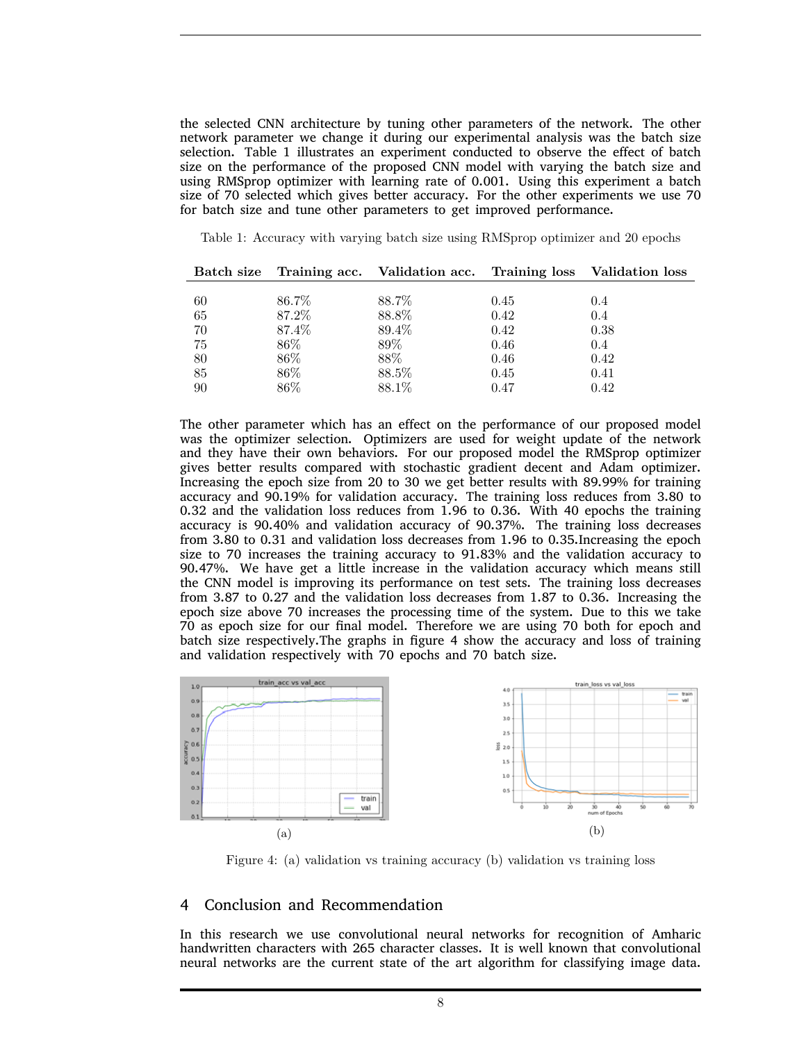the selected CNN architecture by tuning other parameters of the network. The other network parameter we change it during our experimental analysis was the batch size selection. Table 1 illustrates an experiment conducted to observe the effect of batch size on the performance of the proposed CNN model with varying the batch size and using RMSprop optimizer with learning rate of 0.001. Using this experiment a batch size of 70 selected which gives better accuracy. For the other experiments we use 70 for batch size and tune other parameters to get improved performance.

Table 1: Accuracy with varying batch size using RMSprop optimizer and 20 epochs

|    |        | Batch size Training acc. Validation acc. Training loss Validation loss |      |      |
|----|--------|------------------------------------------------------------------------|------|------|
|    |        |                                                                        |      |      |
| 60 | 86.7%  | 88.7%                                                                  | 0.45 | 0.4  |
| 65 | 87.2%  | 88.8%                                                                  | 0.42 | 0.4  |
| 70 | 87.4%  | 89.4%                                                                  | 0.42 | 0.38 |
| 75 | $86\%$ | 89%                                                                    | 0.46 | 0.4  |
| 80 | $86\%$ | 88%                                                                    | 0.46 | 0.42 |
| 85 | $86\%$ | 88.5%                                                                  | 0.45 | 0.41 |
| 90 | 86%    | 88.1%                                                                  | 0.47 | 0.42 |

The other parameter which has an effect on the performance of our proposed model was the optimizer selection. Optimizers are used for weight update of the network and they have their own behaviors. For our proposed model the RMSprop optimizer gives better results compared with stochastic gradient decent and Adam optimizer. Increasing the epoch size from 20 to 30 we get better results with 89.99% for training accuracy and 90.19% for validation accuracy. The training loss reduces from 3.80 to 0.32 and the validation loss reduces from 1.96 to 0.36. With 40 epochs the training accuracy is 90.40% and validation accuracy of 90.37%. The training loss decreases from 3.80 to 0.31 and validation loss decreases from 1.96 to 0.35.Increasing the epoch size to 70 increases the training accuracy to 91.83% and the validation accuracy to 90.47%. We have get a little increase in the validation accuracy which means still the CNN model is improving its performance on test sets. The training loss decreases from 3.87 to 0.27 and the validation loss decreases from 1.87 to 0.36. Increasing the epoch size above 70 increases the processing time of the system. Due to this we take 70 as epoch size for our final model. Therefore we are using 70 both for epoch and batch size respectively.The graphs in figure 4 show the accuracy and loss of training and validation respectively with 70 epochs and 70 batch size.



Figure 4: (a) validation vs training accuracy (b) validation vs training loss

## 4 Conclusion and Recommendation

In this research we use convolutional neural networks for recognition of Amharic handwritten characters with 265 character classes. It is well known that convolutional neural networks are the current state of the art algorithm for classifying image data.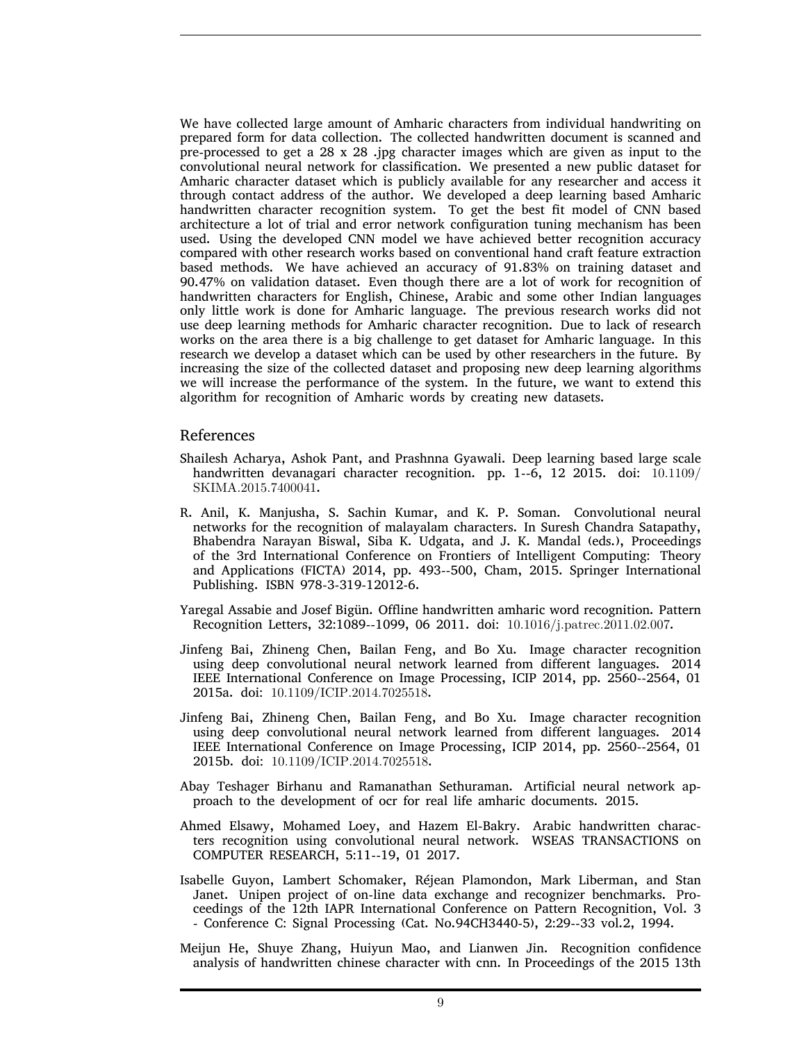We have collected large amount of Amharic characters from individual handwriting on prepared form for data collection. The collected handwritten document is scanned and pre-processed to get a 28 x 28 .jpg character images which are given as input to the convolutional neural network for classification. We presented a new public dataset for Amharic character dataset which is publicly available for any researcher and access it through contact address of the author. We developed a deep learning based Amharic handwritten character recognition system. To get the best fit model of CNN based architecture a lot of trial and error network configuration tuning mechanism has been used. Using the developed CNN model we have achieved better recognition accuracy compared with other research works based on conventional hand craft feature extraction based methods. We have achieved an accuracy of 91.83% on training dataset and 90.47% on validation dataset. Even though there are a lot of work for recognition of handwritten characters for English, Chinese, Arabic and some other Indian languages only little work is done for Amharic language. The previous research works did not use deep learning methods for Amharic character recognition. Due to lack of research works on the area there is a big challenge to get dataset for Amharic language. In this research we develop a dataset which can be used by other researchers in the future. By increasing the size of the collected dataset and proposing new deep learning algorithms we will increase the performance of the system. In the future, we want to extend this algorithm for recognition of Amharic words by creating new datasets.

#### References

- <span id="page-8-7"></span>Shailesh Acharya, Ashok Pant, and Prashnna Gyawali. Deep learning based large scale handwritten devanagari character recognition. pp. 1--6, 12 2015. doi:  $10.1109/$ SKIMA.2015.7400041.
- <span id="page-8-6"></span>R. Anil, K. Manjusha, S. Sachin Kumar, and K. P. Soman. Convolutional neural networks for the recognition of malayalam characters. In Suresh Chandra Satapathy, Bhabendra Narayan Biswal, Siba K. Udgata, and J. K. Mandal (eds.), Proceedings of the 3rd International Conference on Frontiers of Intelligent Computing: Theory and Applications (FICTA) 2014, pp. 493--500, Cham, 2015. Springer International Publishing. ISBN 978-3-319-12012-6.
- <span id="page-8-2"></span>Yaregal Assabie and Josef Bigün. Offline handwritten amharic word recognition. Pattern Recognition Letters, 32:1089--1099, 06 2011. doi: 10.1016/j.patrec.2011.02.007.
- <span id="page-8-0"></span>Jinfeng Bai, Zhineng Chen, Bailan Feng, and Bo Xu. Image character recognition using deep convolutional neural network learned from different languages. 2014 IEEE International Conference on Image Processing, ICIP 2014, pp. 2560--2564, 01 2015a. doi: 10.1109/ICIP.2014.7025518.
- <span id="page-8-4"></span>Jinfeng Bai, Zhineng Chen, Bailan Feng, and Bo Xu. Image character recognition using deep convolutional neural network learned from different languages. 2014 IEEE International Conference on Image Processing, ICIP 2014, pp. 2560--2564, 01 2015b. doi: 10.1109/ICIP.2014.7025518.
- <span id="page-8-3"></span>Abay Teshager Birhanu and Ramanathan Sethuraman. Artificial neural network approach to the development of ocr for real life amharic documents. 2015.
- <span id="page-8-8"></span>Ahmed Elsawy, Mohamed Loey, and Hazem El-Bakry. Arabic handwritten characters recognition using convolutional neural network. WSEAS TRANSACTIONS on COMPUTER RESEARCH, 5:11--19, 01 2017.
- <span id="page-8-1"></span>Isabelle Guyon, Lambert Schomaker, Réjean Plamondon, Mark Liberman, and Stan Janet. Unipen project of on-line data exchange and recognizer benchmarks. Proceedings of the 12th IAPR International Conference on Pattern Recognition, Vol. 3 - Conference C: Signal Processing (Cat. No.94CH3440-5), 2:29--33 vol.2, 1994.
- <span id="page-8-5"></span>Meijun He, Shuye Zhang, Huiyun Mao, and Lianwen Jin. Recognition confidence analysis of handwritten chinese character with cnn. In Proceedings of the 2015 13th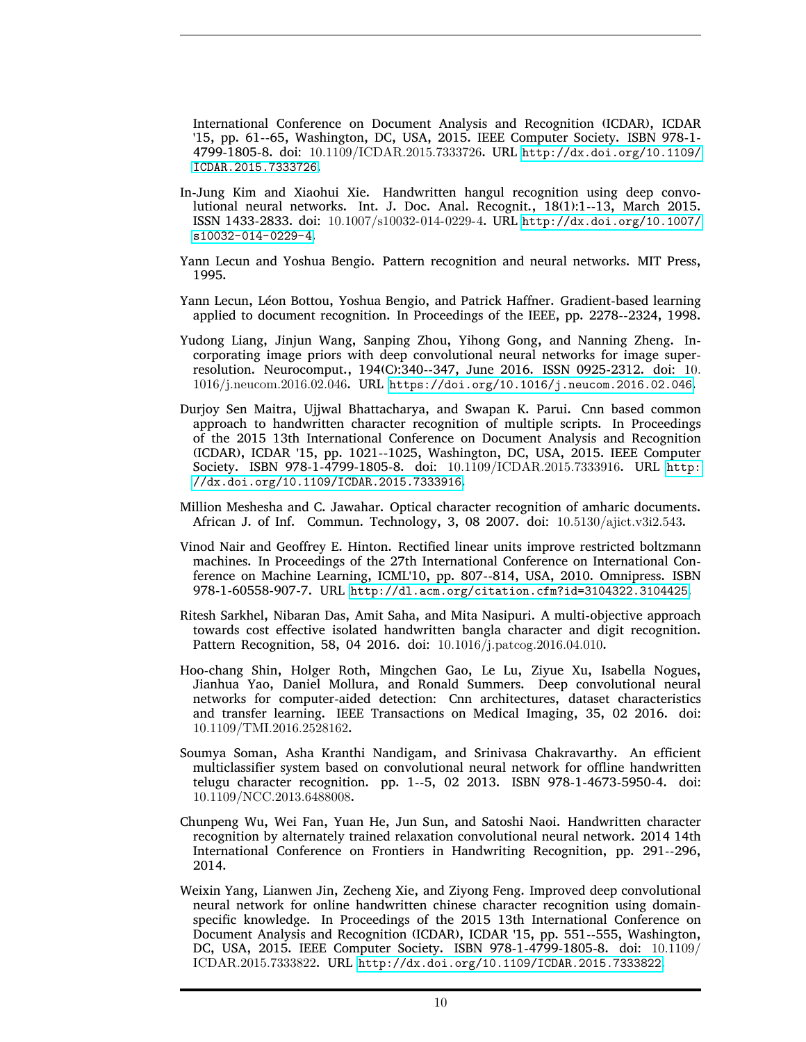International Conference on Document Analysis and Recognition (ICDAR), ICDAR '15, pp. 61--65, Washington, DC, USA, 2015. IEEE Computer Society. ISBN 978-1- 4799-1805-8. doi: 10.1109/ICDAR.2015.7333726. URL [http://dx.doi.org/10.1109/](http://dx.doi.org/10.1109/ICDAR.2015.7333726) [ICDAR.2015.7333726](http://dx.doi.org/10.1109/ICDAR.2015.7333726).

- <span id="page-9-8"></span>In-Jung Kim and Xiaohui Xie. Handwritten hangul recognition using deep convolutional neural networks. Int. J. Doc. Anal. Recognit., 18(1):1--13, March 2015. ISSN 1433-2833. doi: 10.1007/s10032-014-0229-4. URL [http://dx.doi.org/10.1007/](http://dx.doi.org/10.1007/s10032-014-0229-4) [s10032-014-0229-4](http://dx.doi.org/10.1007/s10032-014-0229-4).
- <span id="page-9-4"></span>Yann Lecun and Yoshua Bengio. Pattern recognition and neural networks. MIT Press, 1995.
- <span id="page-9-10"></span>Yann Lecun, Léon Bottou, Yoshua Bengio, and Patrick Haffner. Gradient-based learning applied to document recognition. In Proceedings of the IEEE, pp. 2278--2324, 1998.
- <span id="page-9-1"></span>Yudong Liang, Jinjun Wang, Sanping Zhou, Yihong Gong, and Nanning Zheng. Incorporating image priors with deep convolutional neural networks for image superresolution. Neurocomput., 194(C):340--347, June 2016. ISSN 0925-2312. doi: 10. 1016/j.neucom.2016.02.046. URL <https://doi.org/10.1016/j.neucom.2016.02.046>.
- <span id="page-9-2"></span>Durjoy Sen Maitra, Ujjwal Bhattacharya, and Swapan K. Parui. Cnn based common approach to handwritten character recognition of multiple scripts. In Proceedings of the 2015 13th International Conference on Document Analysis and Recognition (ICDAR), ICDAR '15, pp. 1021--1025, Washington, DC, USA, 2015. IEEE Computer Society. ISBN 978-1-4799-1805-8. doi: 10.1109/ICDAR.2015.7333916. URL [http:](http://dx.doi.org/10.1109/ICDAR.2015.7333916) [//dx.doi.org/10.1109/ICDAR.2015.7333916](http://dx.doi.org/10.1109/ICDAR.2015.7333916).
- <span id="page-9-5"></span>Million Meshesha and C. Jawahar. Optical character recognition of amharic documents. African J. of Inf. Commun. Technology, 3, 08 2007. doi: 10.5130/ajict.v3i2.543.
- <span id="page-9-11"></span>Vinod Nair and Geoffrey E. Hinton. Rectified linear units improve restricted boltzmann machines. In Proceedings of the 27th International Conference on International Conference on Machine Learning, ICML'10, pp. 807--814, USA, 2010. Omnipress. ISBN 978-1-60558-907-7. URL <http://dl.acm.org/citation.cfm?id=3104322.3104425>.
- <span id="page-9-0"></span>Ritesh Sarkhel, Nibaran Das, Amit Saha, and Mita Nasipuri. A multi-objective approach towards cost effective isolated handwritten bangla character and digit recognition. Pattern Recognition, 58, 04 2016. doi: 10.1016/j.patcog.2016.04.010.
- <span id="page-9-3"></span>Hoo-chang Shin, Holger Roth, Mingchen Gao, Le Lu, Ziyue Xu, Isabella Nogues, Jianhua Yao, Daniel Mollura, and Ronald Summers. Deep convolutional neural networks for computer-aided detection: Cnn architectures, dataset characteristics and transfer learning. IEEE Transactions on Medical Imaging, 35, 02 2016. doi: 10.1109/TMI.2016.2528162.
- <span id="page-9-9"></span>Soumya Soman, Asha Kranthi Nandigam, and Srinivasa Chakravarthy. An efficient multiclassifier system based on convolutional neural network for offline handwritten telugu character recognition. pp. 1--5, 02 2013. ISBN 978-1-4673-5950-4. doi: 10.1109/NCC.2013.6488008.
- <span id="page-9-6"></span>Chunpeng Wu, Wei Fan, Yuan He, Jun Sun, and Satoshi Naoi. Handwritten character recognition by alternately trained relaxation convolutional neural network. 2014 14th International Conference on Frontiers in Handwriting Recognition, pp. 291--296, 2014.
- <span id="page-9-7"></span>Weixin Yang, Lianwen Jin, Zecheng Xie, and Ziyong Feng. Improved deep convolutional neural network for online handwritten chinese character recognition using domainspecific knowledge. In Proceedings of the 2015 13th International Conference on Document Analysis and Recognition (ICDAR), ICDAR '15, pp. 551--555, Washington, DC, USA, 2015. IEEE Computer Society. ISBN 978-1-4799-1805-8. doi: 10.1109/ ICDAR.2015.7333822. URL <http://dx.doi.org/10.1109/ICDAR.2015.7333822>.